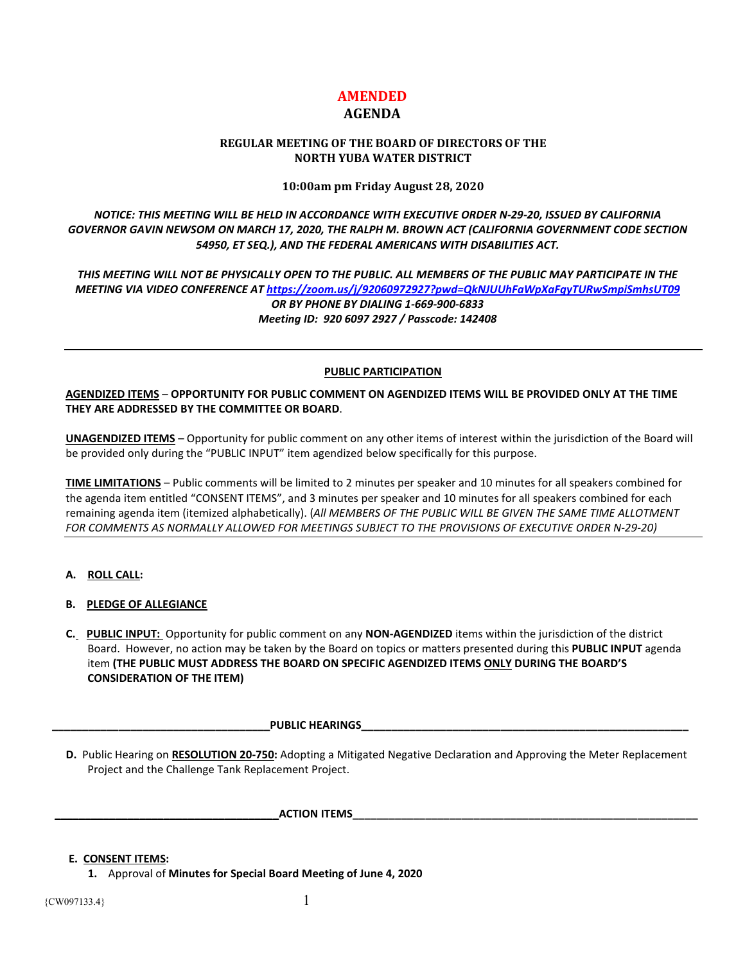# **AMENDED**

## **AGENDA**

## **REGULAR MEETING OF THE BOARD OF DIRECTORS OF THE NORTH YUBA WATER DISTRICT**

## **10:00am pm Friday August 28, 2020**

*NOTICE: THIS MEETING WILL BE HELD IN ACCORDANCE WITH EXECUTIVE ORDER N-29-20, ISSUED BY CALIFORNIA GOVERNOR GAVIN NEWSOM ON MARCH 17, 2020, THE RALPH M. BROWN ACT (CALIFORNIA GOVERNMENT CODE SECTION 54950, ET SEQ.), AND THE FEDERAL AMERICANS WITH DISABILITIES ACT.* 

*THIS MEETING WILL NOT BE PHYSICALLY OPEN TO THE PUBLIC. ALL MEMBERS OF THE PUBLIC MAY PARTICIPATE IN THE MEETING VIA VIDEO CONFERENCE AT<https://zoom.us/j/92060972927?pwd=QkNJUUhFaWpXaFgyTURwSmpiSmhsUT09> OR BY PHONE BY DIALING 1-669-900-6833 Meeting ID: 920 6097 2927 / Passcode: 142408*

#### **PUBLIC PARTICIPATION**

**AGENDIZED ITEMS** – **OPPORTUNITY FOR PUBLIC COMMENT ON AGENDIZED ITEMS WILL BE PROVIDED ONLY AT THE TIME THEY ARE ADDRESSED BY THE COMMITTEE OR BOARD**.

**UNAGENDIZED ITEMS** – Opportunity for public comment on any other items of interest within the jurisdiction of the Board will be provided only during the "PUBLIC INPUT" item agendized below specifically for this purpose.

**TIME LIMITATIONS** – Public comments will be limited to 2 minutes per speaker and 10 minutes for all speakers combined for the agenda item entitled "CONSENT ITEMS", and 3 minutes per speaker and 10 minutes for all speakers combined for each remaining agenda item (itemized alphabetically). (*All MEMBERS OF THE PUBLIC WILL BE GIVEN THE SAME TIME ALLOTMENT FOR COMMENTS AS NORMALLY ALLOWED FOR MEETINGS SUBJECT TO THE PROVISIONS OF EXECUTIVE ORDER N-29-20)*

## **A. ROLL CALL:**

## **B. PLEDGE OF ALLEGIANCE**

 **C. PUBLIC INPUT:** Opportunity for public comment on any **NON-AGENDIZED** items within the jurisdiction of the district Board. However, no action may be taken by the Board on topics or matters presented during this **PUBLIC INPUT** agenda item **(THE PUBLIC MUST ADDRESS THE BOARD ON SPECIFIC AGENDIZED ITEMS ONLY DURING THE BOARD'S CONSIDERATION OF THE ITEM)**

#### **\_\_\_\_\_\_\_\_\_\_\_\_\_\_\_\_\_\_\_\_\_\_\_\_\_\_\_\_\_\_\_\_\_\_\_\_PUBLIC HEARINGS\_\_\_\_\_\_\_\_\_\_\_\_\_\_\_\_\_\_\_\_\_\_\_\_\_\_\_\_\_\_\_\_\_\_\_\_\_\_\_\_\_\_\_\_\_\_\_\_\_\_\_\_\_\_**

 **D.** Public Hearing on **RESOLUTION 20-750:** Adopting a Mitigated Negative Declaration and Approving the Meter Replacement Project and the Challenge Tank Replacement Project.

 **ACTION ITEMS** 

#### **E. CONSENT ITEMS:**

 **1.** Approval of **Minutes for Special Board Meeting of June 4, 2020**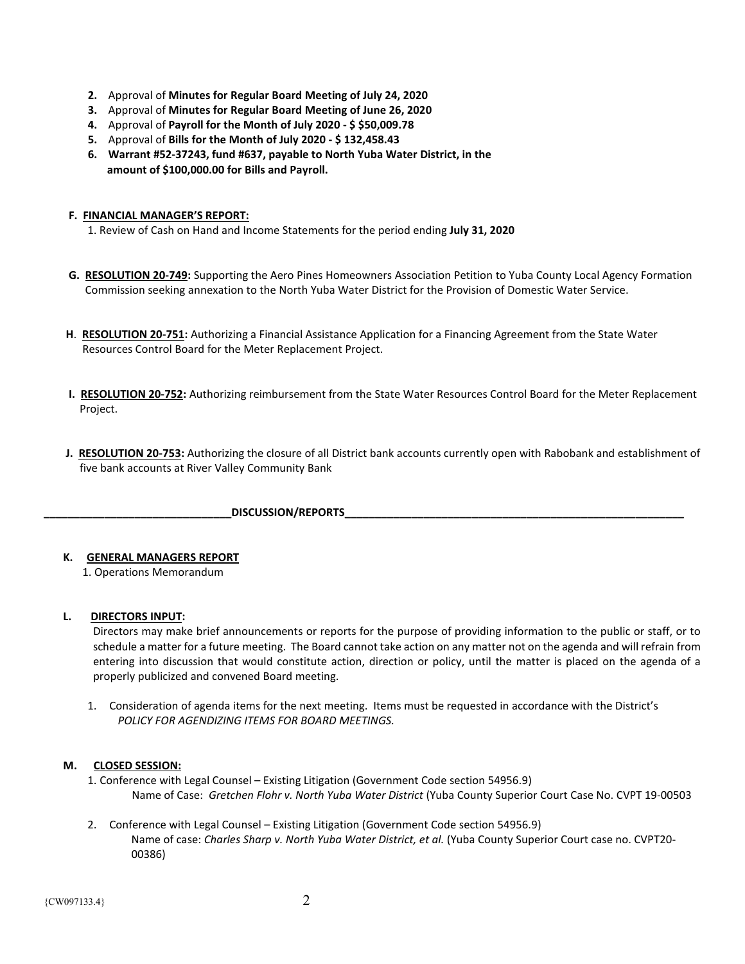- **2.** Approval of **Minutes for Regular Board Meeting of July 24, 2020**
- **3.** Approval of **Minutes for Regular Board Meeting of June 26, 2020**
- **4.** Approval of **Payroll for the Month of July 2020 - \$ \$50,009.78**
- **5.** Approval of **Bills for the Month of July 2020 - \$ 132,458.43**
- **6. Warrant #52-37243, fund #637, payable to North Yuba Water District, in the amount of \$100,000.00 for Bills and Payroll.**

## **F. FINANCIAL MANAGER'S REPORT:**

- 1. Review of Cash on Hand and Income Statements for the period ending **July 31, 2020**
- **G. RESOLUTION 20-749:** Supporting the Aero Pines Homeowners Association Petition to Yuba County Local Agency Formation Commission seeking annexation to the North Yuba Water District for the Provision of Domestic Water Service.
- **H**. **RESOLUTION 20-751:** Authorizing a Financial Assistance Application for a Financing Agreement from the State Water Resources Control Board for the Meter Replacement Project.
- **I. RESOLUTION 20-752:** Authorizing reimbursement from the State Water Resources Control Board for the Meter Replacement Project.
- **J. RESOLUTION 20-753:** Authorizing the closure of all District bank accounts currently open with Rabobank and establishment of five bank accounts at River Valley Community Bank

DISCUSSION/REPORTS

## **K. GENERAL MANAGERS REPORT**

1. Operations Memorandum

## **L. DIRECTORS INPUT:**

Directors may make brief announcements or reports for the purpose of providing information to the public or staff, or to schedule a matter for a future meeting. The Board cannot take action on any matter not on the agenda and will refrain from entering into discussion that would constitute action, direction or policy, until the matter is placed on the agenda of a properly publicized and convened Board meeting.

1. Consideration of agenda items for the next meeting. Items must be requested in accordance with the District's  *POLICY FOR AGENDIZING ITEMS FOR BOARD MEETINGS.*

## **M. CLOSED SESSION:**

- 1. Conference with Legal Counsel Existing Litigation (Government Code section 54956.9) Name of Case: *Gretchen Flohr v. North Yuba Water District* (Yuba County Superior Court Case No. CVPT 19-00503
- 2. Conference with Legal Counsel Existing Litigation (Government Code section 54956.9) Name of case: *Charles Sharp v. North Yuba Water District, et al.* (Yuba County Superior Court case no. CVPT20- 00386)